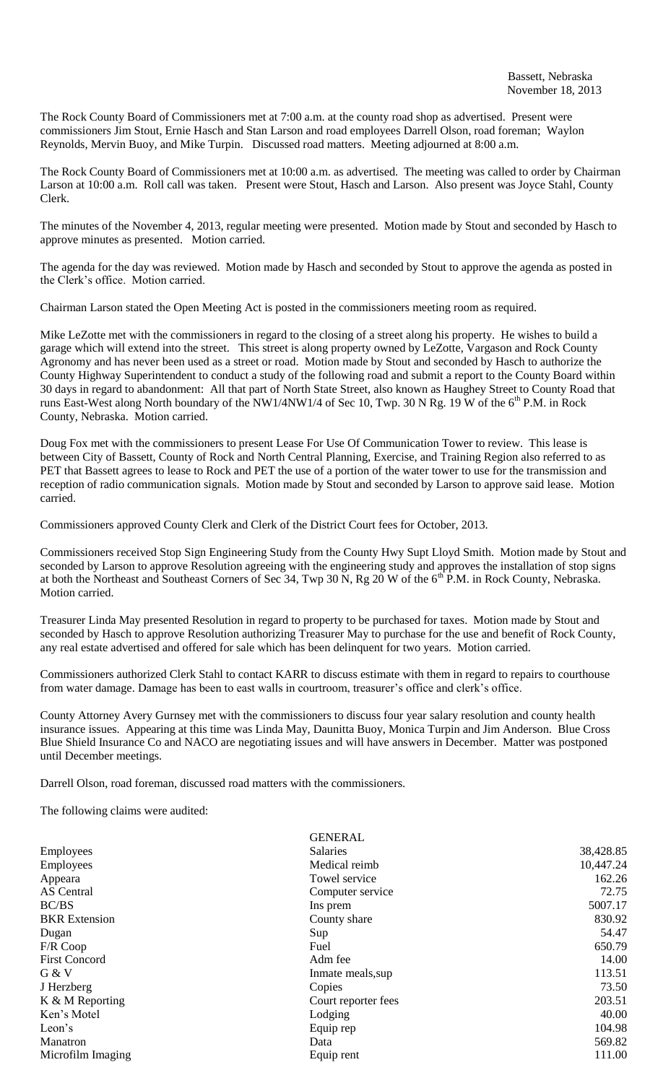The Rock County Board of Commissioners met at 7:00 a.m. at the county road shop as advertised. Present were commissioners Jim Stout, Ernie Hasch and Stan Larson and road employees Darrell Olson, road foreman; Waylon Reynolds, Mervin Buoy, and Mike Turpin. Discussed road matters. Meeting adjourned at 8:00 a.m.

The Rock County Board of Commissioners met at 10:00 a.m. as advertised. The meeting was called to order by Chairman Larson at 10:00 a.m. Roll call was taken. Present were Stout, Hasch and Larson. Also present was Joyce Stahl, County Clerk.

The minutes of the November 4, 2013, regular meeting were presented. Motion made by Stout and seconded by Hasch to approve minutes as presented. Motion carried.

The agenda for the day was reviewed. Motion made by Hasch and seconded by Stout to approve the agenda as posted in the Clerk's office. Motion carried.

Chairman Larson stated the Open Meeting Act is posted in the commissioners meeting room as required.

Mike LeZotte met with the commissioners in regard to the closing of a street along his property. He wishes to build a garage which will extend into the street. This street is along property owned by LeZotte, Vargason and Rock County Agronomy and has never been used as a street or road. Motion made by Stout and seconded by Hasch to authorize the County Highway Superintendent to conduct a study of the following road and submit a report to the County Board within 30 days in regard to abandonment: All that part of North State Street, also known as Haughey Street to County Road that runs East-West along North boundary of the NW1/4NW1/4 of Sec 10, Twp. 30 N Rg. 19 W of the 6<sup>th</sup> P.M. in Rock County, Nebraska. Motion carried.

Doug Fox met with the commissioners to present Lease For Use Of Communication Tower to review. This lease is between City of Bassett, County of Rock and North Central Planning, Exercise, and Training Region also referred to as PET that Bassett agrees to lease to Rock and PET the use of a portion of the water tower to use for the transmission and reception of radio communication signals. Motion made by Stout and seconded by Larson to approve said lease. Motion carried.

Commissioners approved County Clerk and Clerk of the District Court fees for October, 2013.

Commissioners received Stop Sign Engineering Study from the County Hwy Supt Lloyd Smith. Motion made by Stout and seconded by Larson to approve Resolution agreeing with the engineering study and approves the installation of stop signs at both the Northeast and Southeast Corners of Sec 34, Twp 30 N, Rg 20 W of the  $6<sup>th</sup>$  P.M. in Rock County, Nebraska. Motion carried.

Treasurer Linda May presented Resolution in regard to property to be purchased for taxes. Motion made by Stout and seconded by Hasch to approve Resolution authorizing Treasurer May to purchase for the use and benefit of Rock County, any real estate advertised and offered for sale which has been delinquent for two years. Motion carried.

Commissioners authorized Clerk Stahl to contact KARR to discuss estimate with them in regard to repairs to courthouse from water damage. Damage has been to east walls in courtroom, treasurer's office and clerk's office.

County Attorney Avery Gurnsey met with the commissioners to discuss four year salary resolution and county health insurance issues. Appearing at this time was Linda May, Daunitta Buoy, Monica Turpin and Jim Anderson. Blue Cross Blue Shield Insurance Co and NACO are negotiating issues and will have answers in December. Matter was postponed until December meetings.

Darrell Olson, road foreman, discussed road matters with the commissioners.

The following claims were audited:

|                      | <b>GENERAL</b>      |           |
|----------------------|---------------------|-----------|
| Employees            | <b>Salaries</b>     | 38,428.85 |
| Employees            | Medical reimb       | 10,447.24 |
| Appeara              | Towel service       | 162.26    |
| <b>AS</b> Central    | Computer service    | 72.75     |
| BC/BS                | Ins prem            | 5007.17   |
| <b>BKR</b> Extension | County share        | 830.92    |
| Dugan                | Sup                 | 54.47     |
| F/R Coop             | Fuel                | 650.79    |
| <b>First Concord</b> | Adm fee             | 14.00     |
| G & V                | Inmate meals, sup   | 113.51    |
| J Herzberg           | Copies              | 73.50     |
| $K & M$ Reporting    | Court reporter fees | 203.51    |
| Ken's Motel          | Lodging             | 40.00     |
| Leon's               | Equip rep           | 104.98    |
| Manatron             | Data                | 569.82    |
| Microfilm Imaging    | Equip rent          | 111.00    |